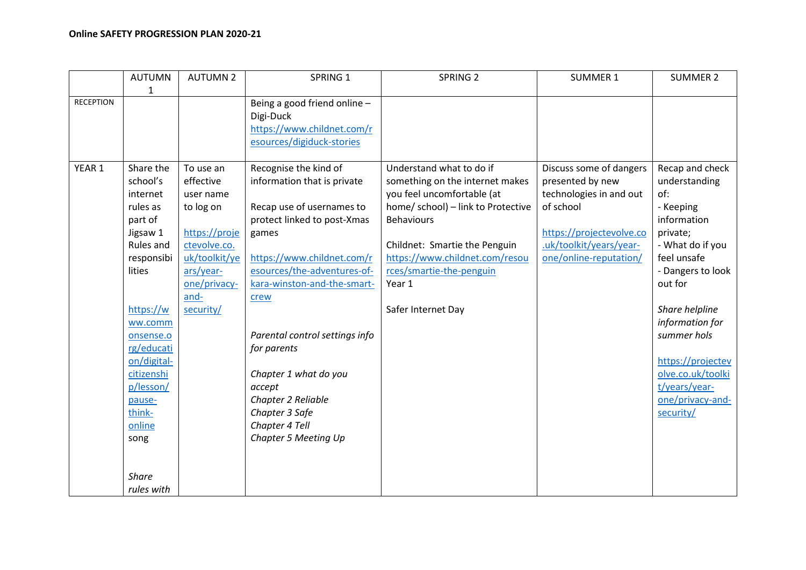|                  | <b>AUTUMN</b><br>$\mathbf{1}$                                                                                                                                                                                                                | <b>AUTUMN 2</b>                                                                                                                                      | SPRING 1                                                                                                                                                                                                                                                                                                                                                                                            | SPRING <sub>2</sub>                                                                                                                                                                                                                                                                 | <b>SUMMER 1</b>                                                                                                                                                      | <b>SUMMER 2</b>                                                                                                                                                                                                                                                                                    |
|------------------|----------------------------------------------------------------------------------------------------------------------------------------------------------------------------------------------------------------------------------------------|------------------------------------------------------------------------------------------------------------------------------------------------------|-----------------------------------------------------------------------------------------------------------------------------------------------------------------------------------------------------------------------------------------------------------------------------------------------------------------------------------------------------------------------------------------------------|-------------------------------------------------------------------------------------------------------------------------------------------------------------------------------------------------------------------------------------------------------------------------------------|----------------------------------------------------------------------------------------------------------------------------------------------------------------------|----------------------------------------------------------------------------------------------------------------------------------------------------------------------------------------------------------------------------------------------------------------------------------------------------|
| <b>RECEPTION</b> |                                                                                                                                                                                                                                              |                                                                                                                                                      | Being a good friend online -<br>Digi-Duck<br>https://www.childnet.com/r<br>esources/digiduck-stories                                                                                                                                                                                                                                                                                                |                                                                                                                                                                                                                                                                                     |                                                                                                                                                                      |                                                                                                                                                                                                                                                                                                    |
| YEAR 1           | Share the<br>school's<br>internet<br>rules as<br>part of<br>Jigsaw 1<br>Rules and<br>responsibi<br>lities<br>https://w<br>ww.comm<br>onsense.o<br>rg/educati<br>on/digital-<br>citizenshi<br>p/lesson/<br>pause-<br>think-<br>online<br>song | To use an<br>effective<br>user name<br>to log on<br>https://proje<br>ctevolve.co.<br>uk/toolkit/ye<br>ars/year-<br>one/privacy-<br>and-<br>security/ | Recognise the kind of<br>information that is private<br>Recap use of usernames to<br>protect linked to post-Xmas<br>games<br>https://www.childnet.com/r<br>esources/the-adventures-of-<br>kara-winston-and-the-smart-<br>crew<br>Parental control settings info<br>for parents<br>Chapter 1 what do you<br>accept<br>Chapter 2 Reliable<br>Chapter 3 Safe<br>Chapter 4 Tell<br>Chapter 5 Meeting Up | Understand what to do if<br>something on the internet makes<br>you feel uncomfortable (at<br>home/ school) - link to Protective<br><b>Behaviours</b><br>Childnet: Smartie the Penguin<br>https://www.childnet.com/resou<br>rces/smartie-the-penguin<br>Year 1<br>Safer Internet Day | Discuss some of dangers<br>presented by new<br>technologies in and out<br>of school<br>https://projectevolve.co<br>.uk/toolkit/years/year-<br>one/online-reputation/ | Recap and check<br>understanding<br>of:<br>- Keeping<br>information<br>private;<br>- What do if you<br>feel unsafe<br>- Dangers to look<br>out for<br>Share helpline<br>information for<br>summer hols<br>https://projectev<br>olve.co.uk/toolki<br>t/years/year-<br>one/privacy-and-<br>security/ |
|                  | <b>Share</b><br>rules with                                                                                                                                                                                                                   |                                                                                                                                                      |                                                                                                                                                                                                                                                                                                                                                                                                     |                                                                                                                                                                                                                                                                                     |                                                                                                                                                                      |                                                                                                                                                                                                                                                                                                    |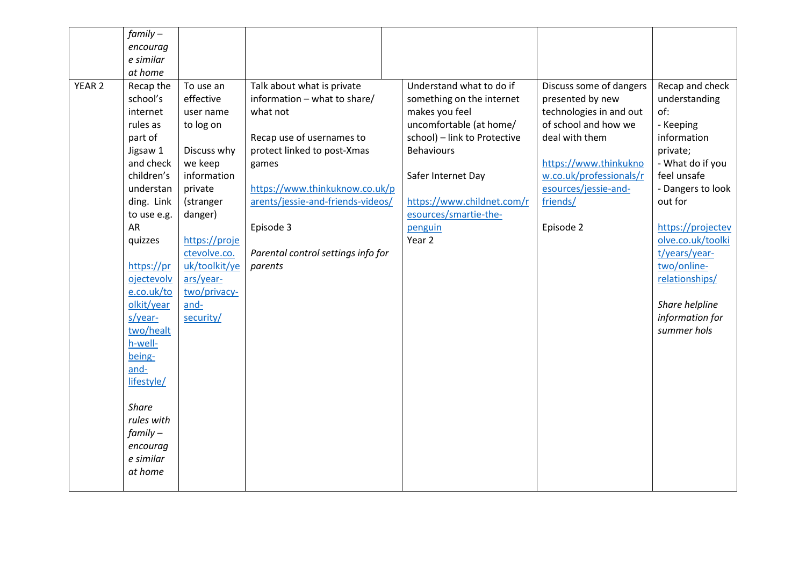|                   | $family -$   |               |                                    |                              |                         |                   |
|-------------------|--------------|---------------|------------------------------------|------------------------------|-------------------------|-------------------|
|                   | encourag     |               |                                    |                              |                         |                   |
|                   | e similar    |               |                                    |                              |                         |                   |
|                   | at home      |               |                                    |                              |                         |                   |
| YEAR <sub>2</sub> | Recap the    | To use an     | Talk about what is private         | Understand what to do if     | Discuss some of dangers | Recap and check   |
|                   | school's     | effective     | information - what to share/       | something on the internet    | presented by new        | understanding     |
|                   | internet     | user name     | what not                           | makes you feel               | technologies in and out | of:               |
|                   | rules as     | to log on     |                                    | uncomfortable (at home/      | of school and how we    | - Keeping         |
|                   | part of      |               | Recap use of usernames to          | school) - link to Protective | deal with them          | information       |
|                   | Jigsaw 1     | Discuss why   | protect linked to post-Xmas        | <b>Behaviours</b>            |                         | private;          |
|                   | and check    | we keep       | games                              |                              | https://www.thinkukno   | - What do if you  |
|                   | children's   | information   |                                    | Safer Internet Day           | w.co.uk/professionals/r | feel unsafe       |
|                   | understan    | private       | https://www.thinkuknow.co.uk/p     |                              | esources/jessie-and-    | - Dangers to look |
|                   | ding. Link   | (stranger     | arents/jessie-and-friends-videos/  | https://www.childnet.com/r   | friends/                | out for           |
|                   | to use e.g.  | danger)       |                                    | esources/smartie-the-        |                         |                   |
|                   | <b>AR</b>    |               | Episode 3                          | penguin                      | Episode 2               | https://projectev |
|                   | quizzes      | https://proje |                                    | Year 2                       |                         | olve.co.uk/toolki |
|                   |              | ctevolve.co.  | Parental control settings info for |                              |                         | t/years/year-     |
|                   | https://pr   | uk/toolkit/ye | parents                            |                              |                         | two/online-       |
|                   | ojectevolv   | ars/year-     |                                    |                              |                         | relationships/    |
|                   | e.co.uk/to   | two/privacy-  |                                    |                              |                         |                   |
|                   | olkit/year   | and-          |                                    |                              |                         | Share helpline    |
|                   | s/year-      | security/     |                                    |                              |                         | information for   |
|                   | two/healt    |               |                                    |                              |                         | summer hols       |
|                   | h-well-      |               |                                    |                              |                         |                   |
|                   | being-       |               |                                    |                              |                         |                   |
|                   | and-         |               |                                    |                              |                         |                   |
|                   | lifestyle/   |               |                                    |                              |                         |                   |
|                   | <b>Share</b> |               |                                    |                              |                         |                   |
|                   | rules with   |               |                                    |                              |                         |                   |
|                   | $family -$   |               |                                    |                              |                         |                   |
|                   | encourag     |               |                                    |                              |                         |                   |
|                   | e similar    |               |                                    |                              |                         |                   |
|                   | at home      |               |                                    |                              |                         |                   |
|                   |              |               |                                    |                              |                         |                   |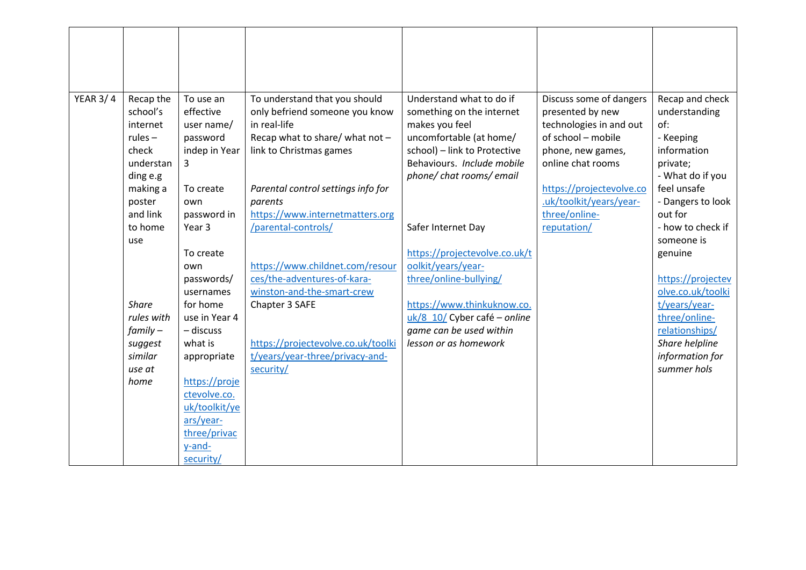| <b>YEAR 3/4</b> | Recap the          | To use an         | To understand that you should      | Understand what to do if                         | Discuss some of dangers  | Recap and check                |
|-----------------|--------------------|-------------------|------------------------------------|--------------------------------------------------|--------------------------|--------------------------------|
|                 | school's           | effective         | only befriend someone you know     | something on the internet                        | presented by new         | understanding                  |
|                 | internet           | user name/        | in real-life                       | makes you feel                                   | technologies in and out  | of:                            |
|                 | rules $-$          | password          | Recap what to share/ what not -    | uncomfortable (at home/                          | of school - mobile       | - Keeping                      |
|                 | check              | indep in Year     | link to Christmas games            | school) - link to Protective                     | phone, new games,        | information                    |
|                 | understan          | 3                 |                                    | Behaviours. Include mobile                       | online chat rooms        | private;                       |
|                 | ding e.g           |                   |                                    | phone/chat rooms/email                           |                          | - What do if you               |
|                 | making a           | To create         | Parental control settings info for |                                                  | https://projectevolve.co | feel unsafe                    |
|                 | poster             | own               | parents                            |                                                  | .uk/toolkit/years/year-  | - Dangers to look              |
|                 | and link           | password in       | https://www.internetmatters.org    |                                                  | three/online-            | out for                        |
|                 | to home            | Year <sub>3</sub> | /parental-controls/                | Safer Internet Day                               | reputation/              | - how to check if              |
|                 | use                |                   |                                    |                                                  |                          | someone is                     |
|                 |                    | To create         |                                    | https://projectevolve.co.uk/t                    |                          | genuine                        |
|                 |                    | own               | https://www.childnet.com/resour    | oolkit/years/year-                               |                          |                                |
|                 |                    | passwords/        | ces/the-adventures-of-kara-        | three/online-bullying/                           |                          | https://projectev              |
|                 |                    | usernames         | winston-and-the-smart-crew         |                                                  |                          | olve.co.uk/toolki              |
|                 | <b>Share</b>       | for home          | Chapter 3 SAFE                     | https://www.thinkuknow.co.                       |                          | t/years/year-                  |
|                 | rules with         | use in Year 4     |                                    | uk/8 10/ Cyber café - online                     |                          | three/online-                  |
|                 | $family -$         | - discuss         |                                    | game can be used within<br>lesson or as homework |                          | relationships/                 |
|                 | suggest<br>similar | what is           | https://projectevolve.co.uk/toolki |                                                  |                          | Share helpline                 |
|                 | use at             | appropriate       | t/years/year-three/privacy-and-    |                                                  |                          | information for<br>summer hols |
|                 | home               | https://proje     | security/                          |                                                  |                          |                                |
|                 |                    | ctevolve.co.      |                                    |                                                  |                          |                                |
|                 |                    | uk/toolkit/ye     |                                    |                                                  |                          |                                |
|                 |                    | ars/year-         |                                    |                                                  |                          |                                |
|                 |                    | three/privac      |                                    |                                                  |                          |                                |
|                 |                    | y-and-            |                                    |                                                  |                          |                                |
|                 |                    | security/         |                                    |                                                  |                          |                                |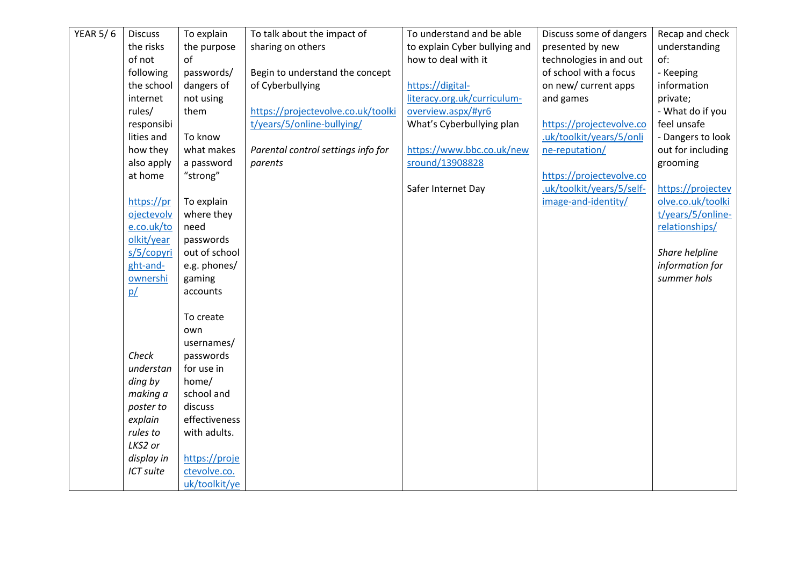| <b>YEAR 5/6</b> | <b>Discuss</b> | To explain    | To talk about the impact of        | To understand and be able     | Discuss some of dangers   | Recap and check   |
|-----------------|----------------|---------------|------------------------------------|-------------------------------|---------------------------|-------------------|
|                 | the risks      | the purpose   | sharing on others                  | to explain Cyber bullying and | presented by new          | understanding     |
|                 | of not         | of            |                                    | how to deal with it           | technologies in and out   | of:               |
|                 | following      | passwords/    | Begin to understand the concept    |                               | of school with a focus    | - Keeping         |
|                 | the school     | dangers of    | of Cyberbullying                   | https://digital-              | on new/ current apps      | information       |
|                 | internet       | not using     |                                    | literacy.org.uk/curriculum-   | and games                 | private;          |
|                 | rules/         | them          | https://projectevolve.co.uk/toolki | overview.aspx/#yr6            |                           | - What do if you  |
|                 | responsibi     |               | t/years/5/online-bullying/         | What's Cyberbullying plan     | https://projectevolve.co  | feel unsafe       |
|                 | lities and     | To know       |                                    |                               | .uk/toolkit/years/5/onli  | - Dangers to look |
|                 | how they       | what makes    | Parental control settings info for | https://www.bbc.co.uk/new     | ne-reputation/            | out for including |
|                 | also apply     | a password    | parents                            | sround/13908828               |                           | grooming          |
|                 | at home        | "strong"      |                                    |                               | https://projectevolve.co  |                   |
|                 |                |               |                                    | Safer Internet Day            | .uk/toolkit/years/5/self- | https://projectev |
|                 | https://pr     | To explain    |                                    |                               | image-and-identity/       | olve.co.uk/toolki |
|                 | ojectevolv     | where they    |                                    |                               |                           | t/years/5/online- |
|                 | e.co.uk/to     | need          |                                    |                               |                           | relationships/    |
|                 | olkit/year     | passwords     |                                    |                               |                           |                   |
|                 | s/5/copyri     | out of school |                                    |                               |                           | Share helpline    |
|                 | ght-and-       | e.g. phones/  |                                    |                               |                           | information for   |
|                 | ownershi       | gaming        |                                    |                               |                           | summer hols       |
|                 | p/             | accounts      |                                    |                               |                           |                   |
|                 |                |               |                                    |                               |                           |                   |
|                 |                | To create     |                                    |                               |                           |                   |
|                 |                | own           |                                    |                               |                           |                   |
|                 |                | usernames/    |                                    |                               |                           |                   |
|                 | Check          | passwords     |                                    |                               |                           |                   |
|                 | understan      | for use in    |                                    |                               |                           |                   |
|                 | ding by        | home/         |                                    |                               |                           |                   |
|                 | making a       | school and    |                                    |                               |                           |                   |
|                 | poster to      | discuss       |                                    |                               |                           |                   |
|                 | explain        | effectiveness |                                    |                               |                           |                   |
|                 | rules to       | with adults.  |                                    |                               |                           |                   |
|                 | LKS2 or        |               |                                    |                               |                           |                   |
|                 | display in     | https://proje |                                    |                               |                           |                   |
|                 | ICT suite      | ctevolve.co.  |                                    |                               |                           |                   |
|                 |                | uk/toolkit/ye |                                    |                               |                           |                   |